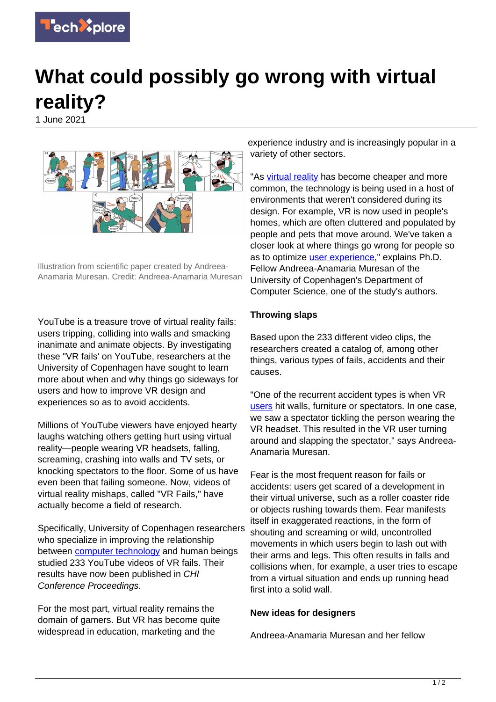

## **What could possibly go wrong with virtual reality?**

1 June 2021



Illustration from scientific paper created by Andreea-Anamaria Muresan. Credit: Andreea-Anamaria Muresan

YouTube is a treasure trove of virtual reality fails: users tripping, colliding into walls and smacking inanimate and animate objects. By investigating these "VR fails' on YouTube, researchers at the University of Copenhagen have sought to learn more about when and why things go sideways for users and how to improve VR design and experiences so as to avoid accidents.

Millions of YouTube viewers have enjoyed hearty laughs watching others getting hurt using virtual reality—people wearing VR headsets, falling, screaming, crashing into walls and TV sets, or knocking spectators to the floor. Some of us have even been that failing someone. Now, videos of virtual reality mishaps, called "VR Fails," have actually become a field of research.

Specifically, University of Copenhagen researchers who specialize in improving the relationship between [computer technology](https://techxplore.com/tags/computer+technology/) and human beings studied 233 YouTube videos of VR fails. Their results have now been published in CHI Conference Proceedings.

For the most part, virtual reality remains the domain of gamers. But VR has become quite widespread in education, marketing and the

experience industry and is increasingly popular in a variety of other sectors.

"As [virtual reality](https://techxplore.com/tags/virtual+reality/) has become cheaper and more common, the technology is being used in a host of environments that weren't considered during its design. For example, VR is now used in people's homes, which are often cluttered and populated by people and pets that move around. We've taken a closer look at where things go wrong for people so as to optimize [user experience,](https://techxplore.com/tags/user+experience/)" explains Ph.D. Fellow Andreea-Anamaria Muresan of the University of Copenhagen's Department of Computer Science, one of the study's authors.

## **Throwing slaps**

Based upon the 233 different video clips, the researchers created a catalog of, among other things, various types of fails, accidents and their causes.

"One of the recurrent accident types is when VR [users](https://techxplore.com/tags/users/) hit walls, furniture or spectators. In one case, we saw a spectator tickling the person wearing the VR headset. This resulted in the VR user turning around and slapping the spectator," says Andreea-Anamaria Muresan.

Fear is the most frequent reason for fails or accidents: users get scared of a development in their virtual universe, such as a roller coaster ride or objects rushing towards them. Fear manifests itself in exaggerated reactions, in the form of shouting and screaming or wild, uncontrolled movements in which users begin to lash out with their arms and legs. This often results in falls and collisions when, for example, a user tries to escape from a virtual situation and ends up running head first into a solid wall.

## **New ideas for designers**

Andreea-Anamaria Muresan and her fellow